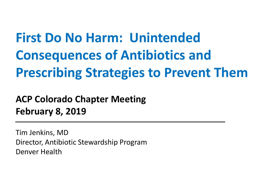**First Do No Harm: Unintended Consequences of Antibiotics and Prescribing Strategies to Prevent Them**

**ACP Colorado Chapter Meeting February 8, 2019**

Tim Jenkins, MD Director, Antibiotic Stewardship Program Denver Health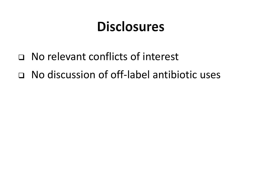## **Disclosures**

- ❑ No relevant conflicts of interest
- ❑ No discussion of off-label antibiotic uses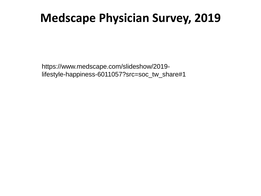### **Medscape Physician Survey, 2019**

https://www.medscape.com/slideshow/2019 lifestyle-happiness-6011057?src=soc\_tw\_share#1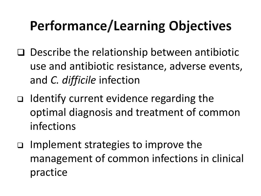# Performance/Learning Objectives

- ❑ Describe the relationship between antibiotic use and antibiotic resistance, adverse events, and *C. difficile* infection
- ❑ Identify current evidence regarding the optimal diagnosis and treatment of common infections
- ❑ Implement strategies to improve the management of common infections in clinical practice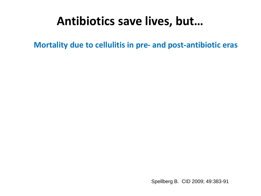### **Antibiotics save lives, but…**

**Mortality due to cellulitis in pre- and post-antibiotic eras**

Spellberg B. CID 2009; 49:383-91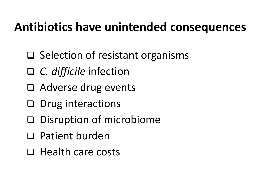### **Antibiotics have unintended consequences**

- ❑ Selection of resistant organisms
- ❑ *C. difficile* infection
- ❑ Adverse drug events
- ❑ Drug interactions
- ❑ Disruption of microbiome
- ❑ Patient burden
- ❑ Health care costs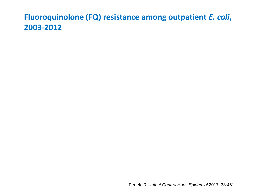#### **Fluoroquinolone (FQ) resistance among outpatient** *E. coli***, 2003-2012**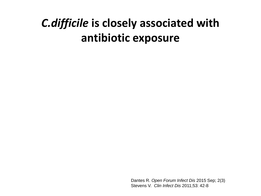### *C.difficile* **is closely associated with antibiotic exposure**

Dantes R. *Open Forum Infect Dis* 2015 Sep; 2(3) Stevens V. *Clin Infect Dis* 2011;53: 42-8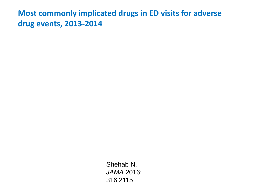**Most commonly implicated drugs in ED visits for adverse drug events, 2013-2014**

> Shehab N. *JAMA* 2016; 316:2115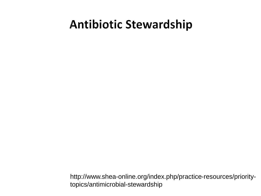### **Antibiotic Stewardship**

http://www.shea-online.org/index.php/practice-resources/prioritytopics/antimicrobial-stewardship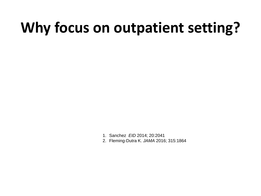# **Why focus on outpatient setting?**

- 1. Sanchez *EID* 2014; 20:2041
- 2. Fleming-Dutra K. *JAMA* 2016; 315:1864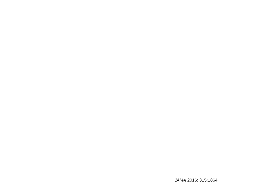*JAMA* 2016; 315:1864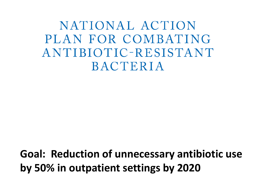NATIONAL ACTION PLAN FOR COMBATING ANTIBIOTIC-RESISTANT **BACTERIA** 

**Goal: Reduction of unnecessary antibiotic use by 50% in outpatient settings by 2020**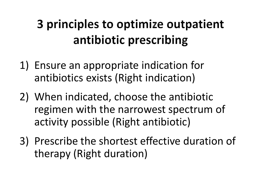## 3 principles to optimize outpatient antibiotic prescribing

- 1) Ensure an appropriate indication for antibiotics exists (Right indication)
- 2) When indicated, choose the antibiotic regimen with the narrowest spectrum of activity possible (Right antibiotic)
- 3) Prescribe the shortest effective duration of therapy (Right duration)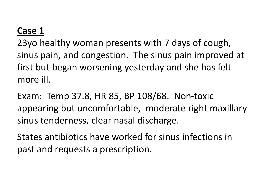#### **Case 1**

23yo healthy woman presents with 7 days of cough, sinus pain, and congestion. The sinus pain improved at first but began worsening yesterday and she has felt more ill.

Exam: Temp 37.8, HR 85, BP 108/68. Non-toxic appearing but uncomfortable, moderate right maxillary sinus tenderness, clear nasal discharge.

States antibiotics have worked for sinus infections in past and requests a prescription.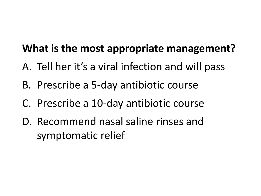#### **What is the most appropriate management?**

- A. Tell her it's a viral infection and will pass
- B. Prescribe a 5-day antibiotic course
- C. Prescribe a 10-day antibiotic course
- D. Recommend nasal saline rinses and symptomatic relief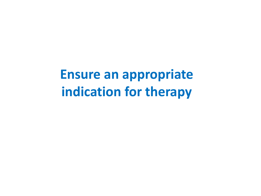# **Ensure an appropriate indication for therapy**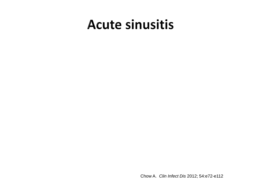## **Acute sinusitis**

Chow A. *Clin Infect Dis* 2012; 54:e72-e112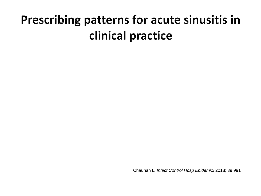## **Prescribing patterns for acute sinusitis in** clinical practice

Chauhan L*. Infect Control Hosp Epidemiol* 2018; 39:991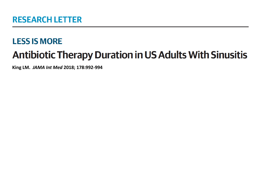#### **LESS IS MORE Antibiotic Therapy Duration in US Adults With Sinusitis**

**King LM.** *JAMA Int Med* **2018; 178:992-994**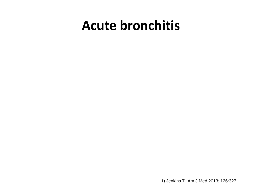## **Acute bronchitis**

1) Jenkins T. Am J Med 2013; 126:327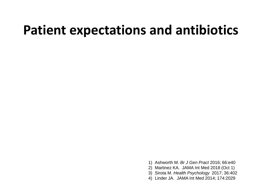## **Patient expectations and antibiotics**

- 1) Ashworth M. *Br J Gen Pract* 2016; 66:e40
- 2) Martinez KA. JAMA Int Med 2018 (Oct 1)
- 3) Sirota M. *Health Psychology* 2017; 36:402
- 4) Linder JA. JAMA Int Med 2014; 174:2029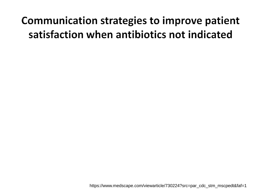### Communication strategies to improve patient satisfaction when antibiotics not indicated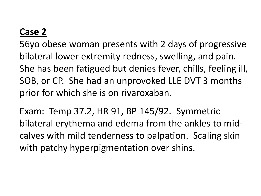#### **Case 2**

56yo obese woman presents with 2 days of progressive bilateral lower extremity redness, swelling, and pain. She has been fatigued but denies fever, chills, feeling ill, SOB, or CP. She had an unprovoked LLE DVT 3 months prior for which she is on rivaroxaban.

Exam: Temp 37.2, HR 91, BP 145/92. Symmetric bilateral erythema and edema from the ankles to midcalves with mild tenderness to palpation. Scaling skin with patchy hyperpigmentation over shins.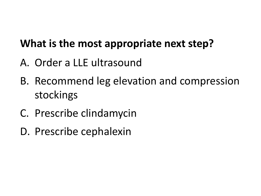#### **What is the most appropriate next step?**

- A. Order a LLE ultrasound
- B. Recommend leg elevation and compression stockings
- C. Prescribe clindamycin
- D. Prescribe cephalexin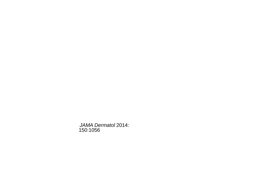*JAMA Dermatol* 2014: 150:1056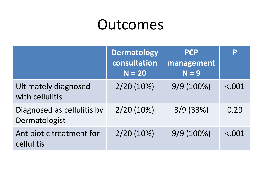# Outcomes

|                                                | <b>Dermatology</b><br>consultation<br>$N = 20$ | <b>PCP</b><br>management<br>$N = 9$ | P      |
|------------------------------------------------|------------------------------------------------|-------------------------------------|--------|
| <b>Ultimately diagnosed</b><br>with cellulitis | $2/20(10\%)$                                   | $9/9(100\%)$                        | < .001 |
| Diagnosed as cellulitis by<br>Dermatologist    | $2/20(10\%)$                                   | 3/9(33%)                            | 0.29   |
| Antibiotic treatment for<br>cellulitis         | $2/20(10\%)$                                   | 9/9(100%)                           | < .001 |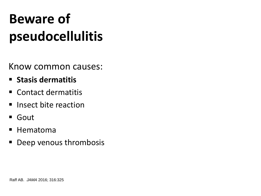# **Beware of pseudocellulitis**

Know common causes:

- **Stasis dermatitis**
- Contact dermatitis
- **E** Insect bite reaction
- Gout
- Hematoma
- Deep venous thrombosis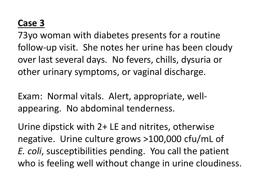#### **Case 3**

73yo woman with diabetes presents for a routine follow-up visit. She notes her urine has been cloudy over last several days. No fevers, chills, dysuria or other urinary symptoms, or vaginal discharge.

Exam: Normal vitals. Alert, appropriate, wellappearing. No abdominal tenderness.

Urine dipstick with 2+ LE and nitrites, otherwise negative. Urine culture grows >100,000 cfu/mL of *E. coli*, susceptibilities pending. You call the patient who is feeling well without change in urine cloudiness.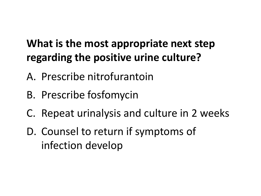#### **What is the most appropriate next step regarding the positive urine culture?**

- A. Prescribe nitrofurantoin
- B. Prescribe fosfomycin
- C. Repeat urinalysis and culture in 2 weeks
- D. Counsel to return if symptoms of infection develop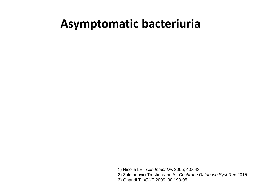#### **Asymptomatic bacteriuria**

1) Nicolle LE. *Clin Infect Dis* 2005; 40:643

2) Zalmanovici Trestioreanu A. *Cochrane Database Syst Rev* 2015

3) Ghandi T. *ICHE* 2009; 30:193-95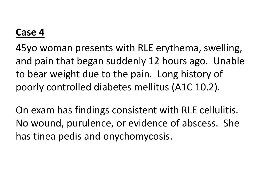#### **Case 4**

45yo woman presents with RLE erythema, swelling, and pain that began suddenly 12 hours ago. Unable to bear weight due to the pain. Long history of poorly controlled diabetes mellitus (A1C 10.2).

On exam has findings consistent with RLE cellulitis. No wound, purulence, or evidence of abscess. She has tinea pedis and onychomycosis.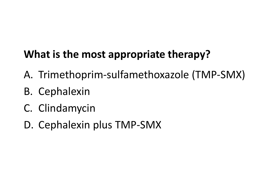#### **What is the most appropriate therapy?**

- A. Trimethoprim-sulfamethoxazole (TMP-SMX)
- B. Cephalexin
- C. Clindamycin
- D. Cephalexin plus TMP-SMX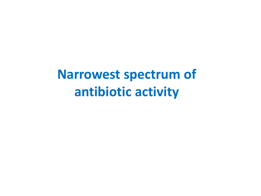**Narrowest spectrum of antibiotic activity**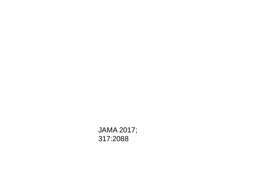JAMA 2017; 317:2088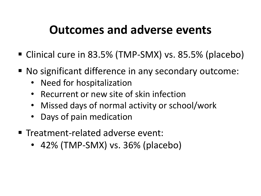#### **Outcomes and adverse events**

- Clinical cure in 83.5% (TMP-SMX) vs. 85.5% (placebo)
- No significant difference in any secondary outcome:
	- Need for hospitalization
	- Recurrent or new site of skin infection
	- Missed days of normal activity or school/work
	- Days of pain medication
- Treatment-related adverse event:
	- 42% (TMP-SMX) vs. 36% (placebo)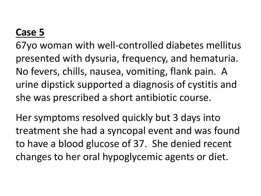#### **Case 5**

67yo woman with well-controlled diabetes mellitus presented with dysuria, frequency, and hematuria. No fevers, chills, nausea, vomiting, flank pain. A urine dipstick supported a diagnosis of cystitis and she was prescribed a short antibiotic course.

Her symptoms resolved quickly but 3 days into treatment she had a syncopal event and was found to have a blood glucose of 37. She denied recent changes to her oral hypoglycemic agents or diet.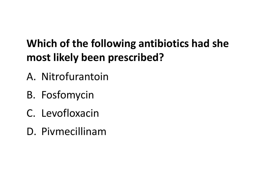### **Which of the following antibiotics had she most likely been prescribed?**

- A. Nitrofurantoin
- B. Fosfomycin
- C. Levofloxacin
- D. Pivmecillinam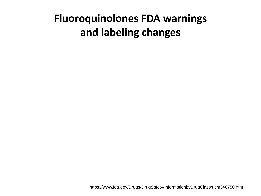#### **Fluoroquinolones FDA warnings and labeling changes**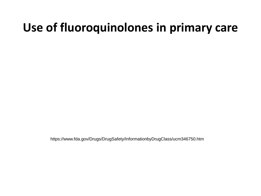### **Use of fluoroquinolones in primary care**

https://www.fda.gov/Drugs/DrugSafety/InformationbyDrugClass/ucm346750.htm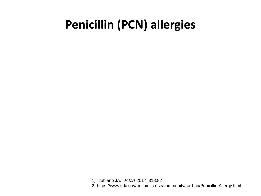### **Penicillin (PCN) allergies**

1) Trubiano JA. *JAMA* 2017; 318:82 2) https://www.cdc.gov/antibiotic-use/community/for-hcp/Penicillin-Allergy.html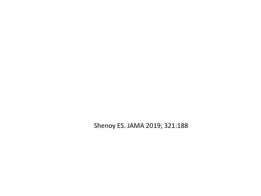Shenoy ES. JAMA 2019; 321:188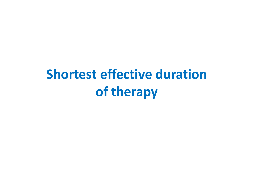# **Shortest effective duration of therapy**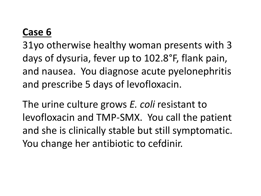#### **Case 6**

31yo otherwise healthy woman presents with 3 days of dysuria, fever up to 102.8°F, flank pain, and nausea. You diagnose acute pyelonephritis and prescribe 5 days of levofloxacin.

The urine culture grows *E. coli* resistant to levofloxacin and TMP-SMX. You call the patient and she is clinically stable but still symptomatic. You change her antibiotic to cefdinir.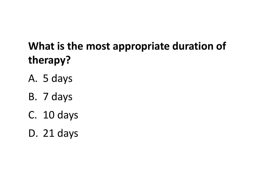### **What is the most appropriate duration of therapy?**

- A. 5 days
- B. 7 days
- C. 10 days
- D. 21 days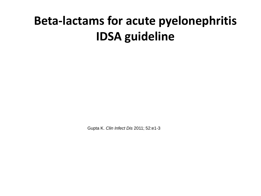## **Beta-lactams for acute pyelonephritis IDSA guideline**

Gupta K. *Clin Infect Dis* 2011; 52:e1-3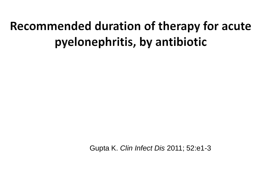## Recommended duration of therapy for acute pyelonephritis, by antibiotic

Gupta K. *Clin Infect Dis* 2011; 52:e1-3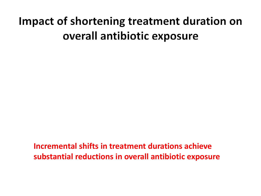### Impact of shortening treatment duration on overall antibiotic exposure

**Incremental shifts in treatment durations achieve substantial reductions in overall antibiotic exposure**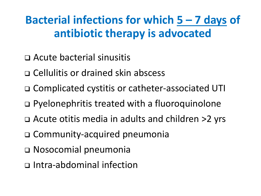### **Bacterial infections for which 5 – 7 days of antibiotic therapy is advocated**

- ❑ Acute bacterial sinusitis
- ❑ Cellulitis or drained skin abscess
- ❑ Complicated cystitis or catheter-associated UTI
- ❑ Pyelonephritis treated with a fluoroquinolone
- ❑ Acute otitis media in adults and children >2 yrs
- ❑ Community-acquired pneumonia
- ❑ Nosocomial pneumonia
- ❑ Intra-abdominal infection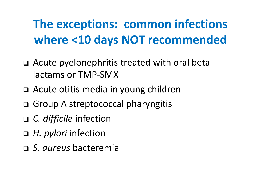## **The exceptions: common infections where <10 days NOT recommended**

- ❑ Acute pyelonephritis treated with oral betalactams or TMP-SMX
- ❑ Acute otitis media in young children
- ❑ Group A streptococcal pharyngitis
- ❑ *C. difficile* infection
- ❑ *H. pylori* infection
- ❑ *S. aureus* bacteremia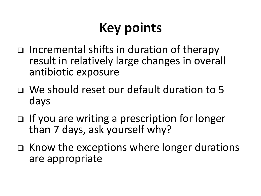# **Key points**

- ❑ Incremental shifts in duration of therapy result in relatively large changes in overall antibiotic exposure
- ❑ We should reset our default duration to 5 days
- ❑ If you are writing a prescription for longer than 7 days, ask yourself why?
- ❑ Know the exceptions where longer durations are appropriate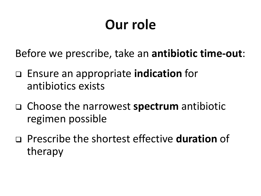# Our role

Before we prescribe, take an **antibiotic time-out**:

- ❑ Ensure an appropriate **indication** for antibiotics exists
- ❑ Choose the narrowest **spectrum** antibiotic regimen possible
- ❑ Prescribe the shortest effective **duration** of therapy